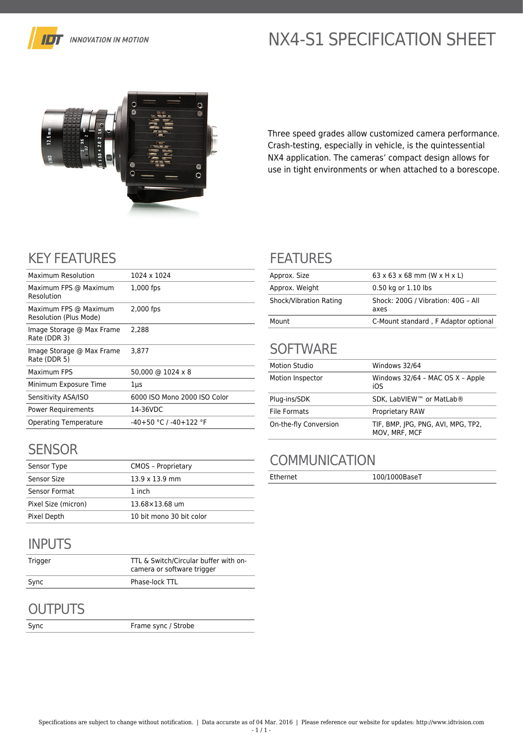

# NX4-S1 SPECIFICATION SHEET



Three speed grades allow customized camera performance. Crash-testing, especially in vehicle, is the quintessential NX4 application. The cameras' compact design allows for use in tight environments or when attached to a borescope.

## KEY FEATURES

| Maximum Resolution                              | 1024 x 1024                  |
|-------------------------------------------------|------------------------------|
| Maximum FPS @ Maximum<br>Resolution             | 1,000 fps                    |
| Maximum FPS @ Maximum<br>Resolution (Plus Mode) | 2,000 fps                    |
| Image Storage @ Max Frame<br>Rate (DDR 3)       | 2,288                        |
| Image Storage @ Max Frame<br>Rate (DDR 5)       | 3.877                        |
| Maximum FPS                                     | 50,000 @ 1024 x 8            |
| Minimum Exposure Time                           | 1µs                          |
| Sensitivity ASA/ISO                             | 6000 ISO Mono 2000 ISO Color |
| <b>Power Requirements</b>                       | 14-36VDC                     |
| <b>Operating Temperature</b>                    | $-40+50$ °C / $-40+122$ °F   |
|                                                 |                              |

## **SENSOR**

| Sensor Type         | <b>CMOS - Proprietary</b> |
|---------------------|---------------------------|
| Sensor Size         | $13.9 \times 13.9$ mm     |
| Sensor Format       | 1 inch                    |
| Pixel Size (micron) | 13.68×13.68 um            |
| Pixel Depth         | 10 bit mono 30 bit color  |

## INPUTS

| Trigger | TTL & Switch/Circular buffer with on-<br>camera or software trigger |
|---------|---------------------------------------------------------------------|
| Sync    | Phase-lock TTL                                                      |

#### **OUTPUTS**

Sync Frame sync / Strobe

#### FEATURES

| Approx. Size           | $63 \times 63 \times 68$ mm (W $\times$ H $\times$ L) |
|------------------------|-------------------------------------------------------|
| Approx. Weight         | 0.50 kg or 1.10 lbs                                   |
| Shock/Vibration Rating | Shock: 200G / Vibration: 40G - All<br>axes            |
| Mount                  | C-Mount standard, F Adaptor optional                  |

# **SOFTWARE**

| <b>Motion Studio</b>  | Windows 32/64                                       |
|-----------------------|-----------------------------------------------------|
| Motion Inspector      | Windows 32/64 - MAC OS X - Apple<br>iOS             |
| Plug-ins/SDK          | SDK, LabVIEW™ or MatLab®                            |
| <b>File Formats</b>   | <b>Proprietary RAW</b>                              |
| On-the-fly Conversion | TIF, BMP, JPG, PNG, AVI, MPG, TP2,<br>MOV. MRF. MCF |

## **COMMUNICATION**

Ethernet 100/1000BaseT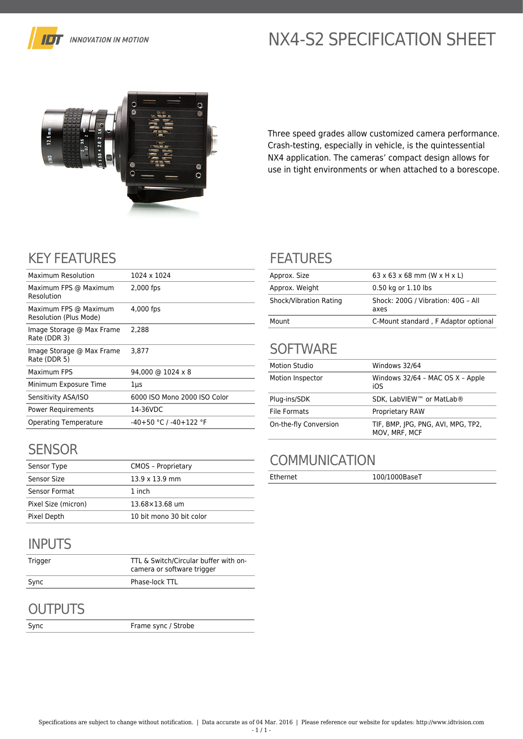

# NX4-S2 SPECIFICATION SHEET



Three speed grades allow customized camera performance. Crash-testing, especially in vehicle, is the quintessential NX4 application. The cameras' compact design allows for use in tight environments or when attached to a borescope.

## KEY FEATURES

| Maximum Resolution                              | 1024 x 1024                       |
|-------------------------------------------------|-----------------------------------|
| Maximum FPS @ Maximum<br>Resolution             | 2,000 fps                         |
| Maximum FPS @ Maximum<br>Resolution (Plus Mode) | 4,000 fps                         |
| Image Storage @ Max Frame<br>Rate (DDR 3)       | 2.288                             |
| Image Storage @ Max Frame<br>Rate (DDR 5)       | 3.877                             |
| Maximum FPS                                     | $94,000 \text{ @ } 1024 \times 8$ |
| Minimum Exposure Time                           | $1 \mu s$                         |
| Sensitivity ASA/ISO                             | 6000 ISO Mono 2000 ISO Color      |
| <b>Power Requirements</b>                       | 14-36VDC                          |
| <b>Operating Temperature</b>                    | $-40+50$ °C / $-40+122$ °F        |
|                                                 |                                   |

#### **SENSOR**

| Sensor Type         | <b>CMOS - Proprietary</b> |
|---------------------|---------------------------|
| Sensor Size         | $13.9 \times 13.9$ mm     |
| Sensor Format       | 1 inch                    |
| Pixel Size (micron) | 13.68×13.68 um            |
| Pixel Depth         | 10 bit mono 30 bit color  |

## INPUTS

| Trigger | TTL & Switch/Circular buffer with on-<br>camera or software trigger |
|---------|---------------------------------------------------------------------|
| Sync    | Phase-lock TTL                                                      |

#### **OUTPUTS**

Sync Frame sync / Strobe

#### FEATURES

| Approx. Size           | $63 \times 63 \times 68$ mm (W $\times$ H $\times$ L) |
|------------------------|-------------------------------------------------------|
| Approx. Weight         | 0.50 kg or 1.10 lbs                                   |
| Shock/Vibration Rating | Shock: 200G / Vibration: 40G - All<br>axes            |
| Mount                  | C-Mount standard, F Adaptor optional                  |

# **SOFTWARE**

| <b>Motion Studio</b>  | Windows 32/64                                       |
|-----------------------|-----------------------------------------------------|
| Motion Inspector      | Windows 32/64 - MAC OS X - Apple<br>iOS             |
| Plug-ins/SDK          | SDK, LabVIEW™ or MatLab®                            |
| File Formats          | <b>Proprietary RAW</b>                              |
| On-the-fly Conversion | TIF, BMP, JPG, PNG, AVI, MPG, TP2,<br>MOV. MRF. MCF |

## **COMMUNICATION**

Ethernet 100/1000BaseT